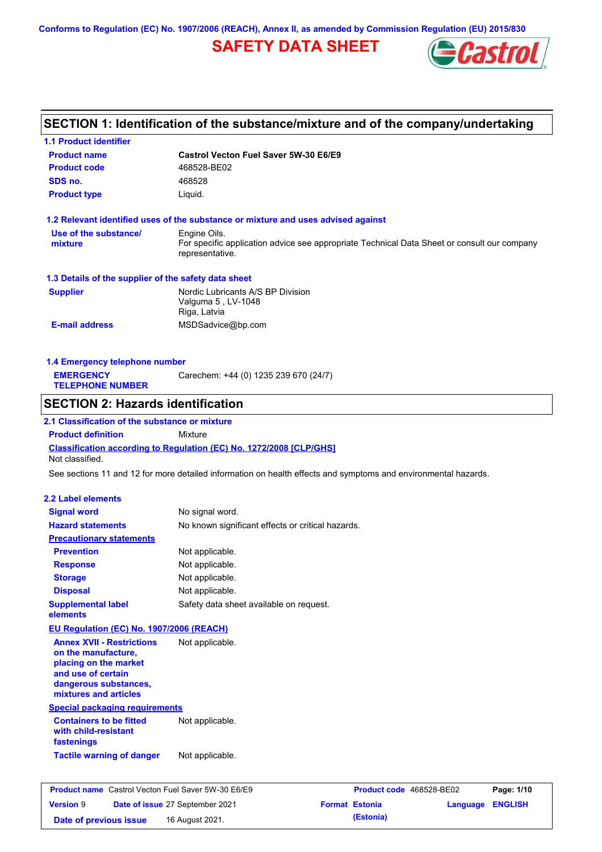**Conforms to Regulation (EC) No. 1907/2006 (REACH), Annex II, as amended by Commission Regulation (EU) 2015/830**

# **SAFETY DATA SHEET**



## **SECTION 1: Identification of the substance/mixture and of the company/undertaking**

| <b>1.1 Product identifier</b>                                                                 |                                                   |                                                                                                                |
|-----------------------------------------------------------------------------------------------|---------------------------------------------------|----------------------------------------------------------------------------------------------------------------|
| <b>Product name</b>                                                                           | <b>Castrol Vecton Fuel Saver 5W-30 E6/E9</b>      |                                                                                                                |
| <b>Product code</b>                                                                           | 468528-BE02                                       |                                                                                                                |
| SDS no.                                                                                       | 468528                                            |                                                                                                                |
| <b>Product type</b>                                                                           | Liquid.                                           |                                                                                                                |
| 1.2 Relevant identified uses of the substance or mixture and uses advised against             |                                                   |                                                                                                                |
| Use of the substance/                                                                         | Engine Oils.                                      |                                                                                                                |
| mixture                                                                                       | representative.                                   | For specific application advice see appropriate Technical Data Sheet or consult our company                    |
| 1.3 Details of the supplier of the safety data sheet                                          |                                                   |                                                                                                                |
| <b>Supplier</b>                                                                               | Nordic Lubricants A/S BP Division                 |                                                                                                                |
|                                                                                               | Valguma 5, LV-1048                                |                                                                                                                |
| <b>E-mail address</b>                                                                         | Riga, Latvia                                      |                                                                                                                |
|                                                                                               | MSDSadvice@bp.com                                 |                                                                                                                |
| 1.4 Emergency telephone number                                                                |                                                   |                                                                                                                |
| <b>EMERGENCY</b>                                                                              | Carechem: +44 (0) 1235 239 670 (24/7)             |                                                                                                                |
| <b>TELEPHONE NUMBER</b>                                                                       |                                                   |                                                                                                                |
| <b>SECTION 2: Hazards identification</b>                                                      |                                                   |                                                                                                                |
| 2.1 Classification of the substance or mixture                                                |                                                   |                                                                                                                |
| <b>Product definition</b>                                                                     | Mixture                                           |                                                                                                                |
| <b>Classification according to Regulation (EC) No. 1272/2008 [CLP/GHS]</b><br>Not classified. |                                                   |                                                                                                                |
|                                                                                               |                                                   | See sections 11 and 12 for more detailed information on health effects and symptoms and environmental hazards. |
| <b>2.2 Label elements</b>                                                                     |                                                   |                                                                                                                |
| <b>Signal word</b>                                                                            | No signal word.                                   |                                                                                                                |
| <b>Hazard statements</b>                                                                      | No known significant effects or critical hazards. |                                                                                                                |
| <b>Precautionary statements</b>                                                               |                                                   |                                                                                                                |
| <b>Prevention</b>                                                                             | Not applicable.                                   |                                                                                                                |
| <b>Response</b>                                                                               | Not applicable.                                   |                                                                                                                |
| <b>Storage</b>                                                                                | Not applicable.                                   |                                                                                                                |
| <b>Disposal</b>                                                                               | Not applicable.                                   |                                                                                                                |
| <b>Supplemental label</b>                                                                     | Safety data sheet available on request.           |                                                                                                                |
| elements                                                                                      |                                                   |                                                                                                                |
| EU Regulation (EC) No. 1907/2006 (REACH)                                                      |                                                   |                                                                                                                |
| <b>Annex XVII - Restrictions</b>                                                              | Not applicable.                                   |                                                                                                                |
| on the manufacture,                                                                           |                                                   |                                                                                                                |
| placing on the market                                                                         |                                                   |                                                                                                                |
| and use of certain                                                                            |                                                   |                                                                                                                |
| dangerous substances,<br>mixtures and articles                                                |                                                   |                                                                                                                |
| <b>Special packaging requirements</b>                                                         |                                                   |                                                                                                                |
| <b>Containers to be fitted</b>                                                                | Not applicable.                                   |                                                                                                                |
| with child-resistant<br>fastenings                                                            |                                                   |                                                                                                                |
| <b>Tactile warning of danger</b>                                                              | Not applicable.                                   |                                                                                                                |
|                                                                                               |                                                   |                                                                                                                |
| <b>Product name</b> Castrol Vecton Fuel Saver 5W-30 E6/E9                                     |                                                   | Product code 468528-BE02<br>Page: 1/10                                                                         |
| Version 9                                                                                     | Date of issue 27 September 2021                   | <b>Format Estonia</b><br>Language ENGLISH                                                                      |
|                                                                                               |                                                   |                                                                                                                |

**Date of previous issue (Estonia)** 16 August 2021.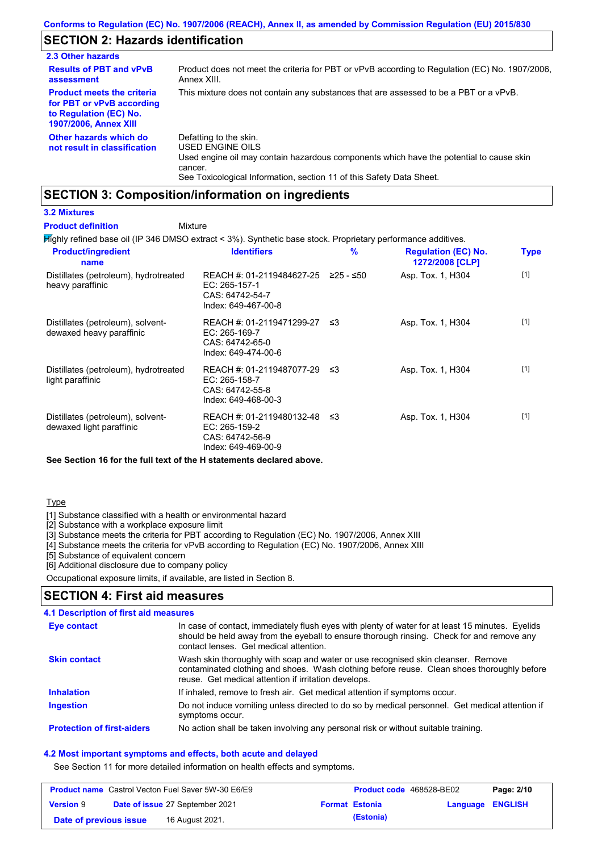## **SECTION 2: Hazards identification**

| 2.3 Other hazards                                                                                                        |                                                                                                                                                                                                                          |
|--------------------------------------------------------------------------------------------------------------------------|--------------------------------------------------------------------------------------------------------------------------------------------------------------------------------------------------------------------------|
| <b>Results of PBT and vPvB</b><br>assessment                                                                             | Product does not meet the criteria for PBT or vPvB according to Regulation (EC) No. 1907/2006.<br>Annex XIII.                                                                                                            |
| <b>Product meets the criteria</b><br>for PBT or vPvB according<br>to Regulation (EC) No.<br><b>1907/2006, Annex XIII</b> | This mixture does not contain any substances that are assessed to be a PBT or a vPvB.                                                                                                                                    |
| Other hazards which do<br>not result in classification                                                                   | Defatting to the skin.<br>USED ENGINE OILS<br>Used engine oil may contain hazardous components which have the potential to cause skin<br>cancer.<br>See Toxicological Information, section 11 of this Safety Data Sheet. |

## **SECTION 3: Composition/information on ingredients**

Mixture

### **3.2 Mixtures**

### **Product definition**

Highly refined base oil (IP 346 DMSO extract < 3%). Synthetic base stock. Proprietary performance additives.

| <b>Product/ingredient</b><br>name                             | <b>Identifiers</b>                                                                        | $\frac{9}{6}$ | <b>Regulation (EC) No.</b><br>1272/2008 [CLP] | <b>Type</b> |
|---------------------------------------------------------------|-------------------------------------------------------------------------------------------|---------------|-----------------------------------------------|-------------|
| Distillates (petroleum), hydrotreated<br>heavy paraffinic     | REACH #: 01-2119484627-25<br>EC: 265-157-1<br>CAS: 64742-54-7<br>Index: 649-467-00-8      | $≥25 - ≤50$   | Asp. Tox. 1, H304                             | $[1]$       |
| Distillates (petroleum), solvent-<br>dewaxed heavy paraffinic | REACH #: 01-2119471299-27<br>EC: 265-169-7<br>CAS: 64742-65-0<br>Index: 649-474-00-6      | -≤3           | Asp. Tox. 1, H304                             | $[1]$       |
| Distillates (petroleum), hydrotreated<br>light paraffinic     | REACH #: 01-2119487077-29 ≤3<br>$EC: 265-158-7$<br>CAS: 64742-55-8<br>Index: 649-468-00-3 |               | Asp. Tox. 1, H304                             | $[1]$       |
| Distillates (petroleum), solvent-<br>dewaxed light paraffinic | REACH #: 01-2119480132-48 ≤3<br>EC: 265-159-2<br>CAS: 64742-56-9<br>Index: 649-469-00-9   |               | Asp. Tox. 1, H304                             | $[1]$       |

**See Section 16 for the full text of the H statements declared above.**

### **Type**

[1] Substance classified with a health or environmental hazard

[2] Substance with a workplace exposure limit

[3] Substance meets the criteria for PBT according to Regulation (EC) No. 1907/2006, Annex XIII

[4] Substance meets the criteria for vPvB according to Regulation (EC) No. 1907/2006, Annex XIII

[5] Substance of equivalent concern

[6] Additional disclosure due to company policy

Occupational exposure limits, if available, are listed in Section 8.

### **SECTION 4: First aid measures**

#### Do not induce vomiting unless directed to do so by medical personnel. Get medical attention if symptoms occur. In case of contact, immediately flush eyes with plenty of water for at least 15 minutes. Eyelids should be held away from the eyeball to ensure thorough rinsing. Check for and remove any contact lenses. Get medical attention. **4.1 Description of first aid measures** If inhaled, remove to fresh air. Get medical attention if symptoms occur. **Ingestion Inhalation Eye contact Protection of first-aiders** No action shall be taken involving any personal risk or without suitable training. **Skin contact** Wash skin thoroughly with soap and water or use recognised skin cleanser. Remove contaminated clothing and shoes. Wash clothing before reuse. Clean shoes thoroughly before reuse. Get medical attention if irritation develops.

### **4.2 Most important symptoms and effects, both acute and delayed**

See Section 11 for more detailed information on health effects and symptoms.

|                        | <b>Product name</b> Castrol Vecton Fuel Saver 5W-30 E6/E9 | <b>Product code</b> 468528-BE02 |                         | Page: 2/10 |
|------------------------|-----------------------------------------------------------|---------------------------------|-------------------------|------------|
| <b>Version 9</b>       | Date of issue 27 September 2021                           | <b>Format Estonia</b>           | <b>Language ENGLISH</b> |            |
| Date of previous issue | 16 August 2021.                                           | (Estonia)                       |                         |            |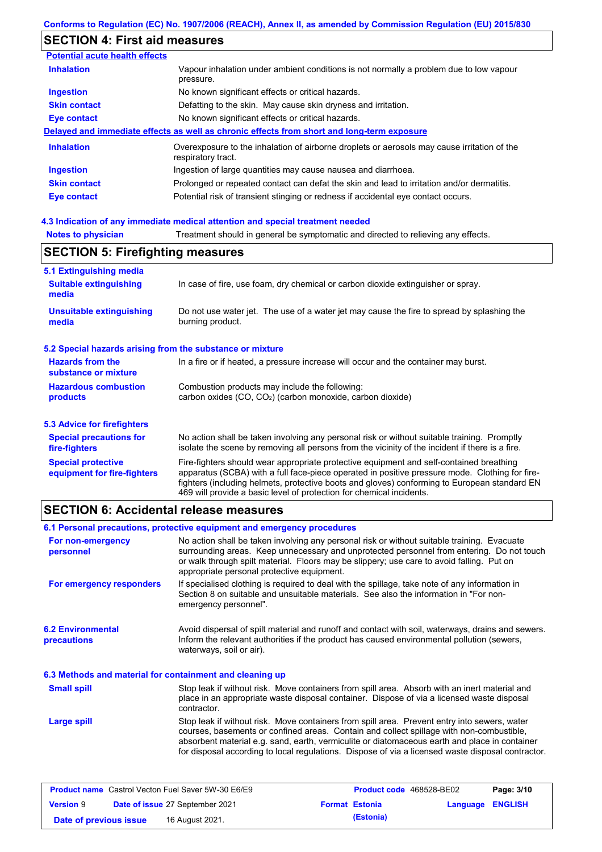# **SECTION 4: First aid measures**

| <b>Potential acute health effects</b> |                                                                                                                   |
|---------------------------------------|-------------------------------------------------------------------------------------------------------------------|
| <b>Inhalation</b>                     | Vapour inhalation under ambient conditions is not normally a problem due to low vapour<br>pressure.               |
| <b>Ingestion</b>                      | No known significant effects or critical hazards.                                                                 |
| <b>Skin contact</b>                   | Defatting to the skin. May cause skin dryness and irritation.                                                     |
| Eye contact                           | No known significant effects or critical hazards.                                                                 |
|                                       | Delayed and immediate effects as well as chronic effects from short and long-term exposure                        |
| <b>Inhalation</b>                     | Overexposure to the inhalation of airborne droplets or aerosols may cause irritation of the<br>respiratory tract. |
| <b>Ingestion</b>                      | Ingestion of large quantities may cause nausea and diarrhoea.                                                     |
| <b>Skin contact</b>                   | Prolonged or repeated contact can defat the skin and lead to irritation and/or dermatitis.                        |
| Eye contact                           | Potential risk of transient stinging or redness if accidental eye contact occurs.                                 |

### **4.3 Indication of any immediate medical attention and special treatment needed**

| <b>Notes to physician</b>                                         | Treatment should in general be symptomatic and directed to relieving any effects.                                                                                                                                                                                                                                                                                 |  |  |  |
|-------------------------------------------------------------------|-------------------------------------------------------------------------------------------------------------------------------------------------------------------------------------------------------------------------------------------------------------------------------------------------------------------------------------------------------------------|--|--|--|
| <b>SECTION 5: Firefighting measures</b>                           |                                                                                                                                                                                                                                                                                                                                                                   |  |  |  |
| 5.1 Extinguishing media<br><b>Suitable extinguishing</b><br>media | In case of fire, use foam, dry chemical or carbon dioxide extinguisher or spray.                                                                                                                                                                                                                                                                                  |  |  |  |
| <b>Unsuitable extinguishing</b><br>media                          | Do not use water jet. The use of a water jet may cause the fire to spread by splashing the<br>burning product.                                                                                                                                                                                                                                                    |  |  |  |
| 5.2 Special hazards arising from the substance or mixture         |                                                                                                                                                                                                                                                                                                                                                                   |  |  |  |
| <b>Hazards from the</b><br>substance or mixture                   | In a fire or if heated, a pressure increase will occur and the container may burst.                                                                                                                                                                                                                                                                               |  |  |  |
| <b>Hazardous combustion</b><br>products                           | Combustion products may include the following:<br>carbon oxides (CO, CO <sub>2</sub> ) (carbon monoxide, carbon dioxide)                                                                                                                                                                                                                                          |  |  |  |
| <b>5.3 Advice for firefighters</b>                                |                                                                                                                                                                                                                                                                                                                                                                   |  |  |  |
| <b>Special precautions for</b><br>fire-fighters                   | No action shall be taken involving any personal risk or without suitable training. Promptly<br>isolate the scene by removing all persons from the vicinity of the incident if there is a fire.                                                                                                                                                                    |  |  |  |
| <b>Special protective</b><br>equipment for fire-fighters          | Fire-fighters should wear appropriate protective equipment and self-contained breathing<br>apparatus (SCBA) with a full face-piece operated in positive pressure mode. Clothing for fire-<br>fighters (including helmets, protective boots and gloves) conforming to European standard EN<br>469 will provide a basic level of protection for chemical incidents. |  |  |  |

# **SECTION 6: Accidental release measures**

|                                                          | 6.1 Personal precautions, protective equipment and emergency procedures                                                                                                                                                                                                                                                                                                                        |  |  |  |
|----------------------------------------------------------|------------------------------------------------------------------------------------------------------------------------------------------------------------------------------------------------------------------------------------------------------------------------------------------------------------------------------------------------------------------------------------------------|--|--|--|
| For non-emergency<br>personnel                           | No action shall be taken involving any personal risk or without suitable training. Evacuate<br>surrounding areas. Keep unnecessary and unprotected personnel from entering. Do not touch<br>or walk through spilt material. Floors may be slippery; use care to avoid falling. Put on<br>appropriate personal protective equipment.                                                            |  |  |  |
| For emergency responders                                 | If specialised clothing is required to deal with the spillage, take note of any information in<br>Section 8 on suitable and unsuitable materials. See also the information in "For non-<br>emergency personnel".                                                                                                                                                                               |  |  |  |
| <b>6.2 Environmental</b><br>precautions                  | Avoid dispersal of spilt material and runoff and contact with soil, waterways, drains and sewers.<br>Inform the relevant authorities if the product has caused environmental pollution (sewers,<br>waterways, soil or air).                                                                                                                                                                    |  |  |  |
| 6.3 Methods and material for containment and cleaning up |                                                                                                                                                                                                                                                                                                                                                                                                |  |  |  |
| <b>Small spill</b>                                       | Stop leak if without risk. Move containers from spill area. Absorb with an inert material and<br>place in an appropriate waste disposal container. Dispose of via a licensed waste disposal<br>contractor.                                                                                                                                                                                     |  |  |  |
| Large spill                                              | Stop leak if without risk. Move containers from spill area. Prevent entry into sewers, water<br>courses, basements or confined areas. Contain and collect spillage with non-combustible,<br>absorbent material e.g. sand, earth, vermiculite or diatomaceous earth and place in container<br>for disposal according to local regulations. Dispose of via a licensed waste disposal contractor. |  |  |  |

|                        | <b>Product name</b> Castrol Vecton Fuel Saver 5W-30 E6/E9 | Product code 468528-BE02 |                  | Page: 3/10 |
|------------------------|-----------------------------------------------------------|--------------------------|------------------|------------|
| <b>Version 9</b>       | <b>Date of issue 27 September 2021</b>                    | <b>Format Estonia</b>    | Language ENGLISH |            |
| Date of previous issue | 16 August 2021.                                           | (Estonia)                |                  |            |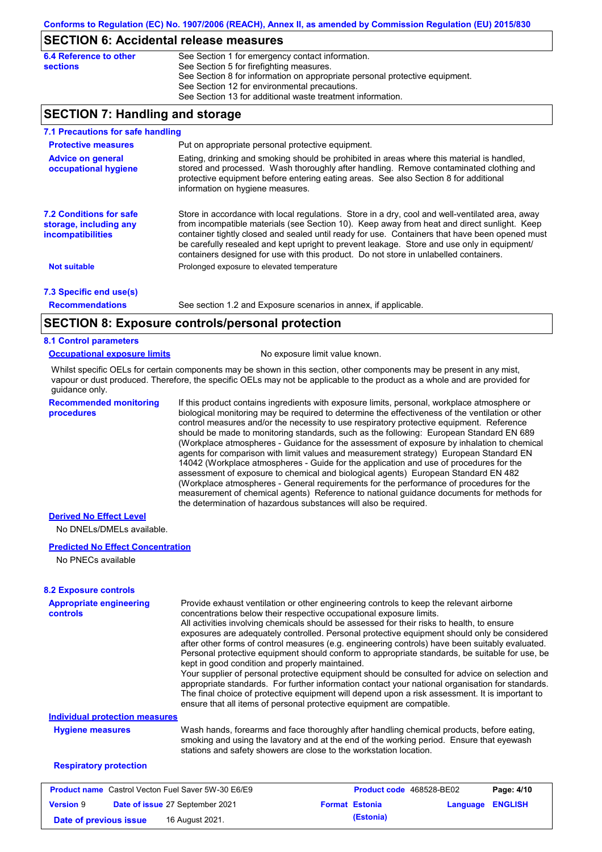### **SECTION 6: Accidental release measures**

| 6.4 Reference to other | See Section 1 for emergency contact information.                            |
|------------------------|-----------------------------------------------------------------------------|
| sections               | See Section 5 for firefighting measures.                                    |
|                        | See Section 8 for information on appropriate personal protective equipment. |
|                        | See Section 12 for environmental precautions.                               |
|                        | See Section 13 for additional waste treatment information.                  |

## **SECTION 7: Handling and storage**

| 7.1 Precautions for safe handling                                                    |                                                                                                                                                                                                                                                                                                                                                                                                                                                                                          |
|--------------------------------------------------------------------------------------|------------------------------------------------------------------------------------------------------------------------------------------------------------------------------------------------------------------------------------------------------------------------------------------------------------------------------------------------------------------------------------------------------------------------------------------------------------------------------------------|
| <b>Protective measures</b>                                                           | Put on appropriate personal protective equipment.                                                                                                                                                                                                                                                                                                                                                                                                                                        |
| <b>Advice on general</b><br>occupational hygiene                                     | Eating, drinking and smoking should be prohibited in areas where this material is handled,<br>stored and processed. Wash thoroughly after handling. Remove contaminated clothing and<br>protective equipment before entering eating areas. See also Section 8 for additional<br>information on hygiene measures.                                                                                                                                                                         |
| <b>7.2 Conditions for safe</b><br>storage, including any<br><i>incompatibilities</i> | Store in accordance with local regulations. Store in a dry, cool and well-ventilated area, away<br>from incompatible materials (see Section 10). Keep away from heat and direct sunlight. Keep<br>container tightly closed and sealed until ready for use. Containers that have been opened must<br>be carefully resealed and kept upright to prevent leakage. Store and use only in equipment/<br>containers designed for use with this product. Do not store in unlabelled containers. |
| Not suitable                                                                         | Prolonged exposure to elevated temperature                                                                                                                                                                                                                                                                                                                                                                                                                                               |
| 7.3 Specific end use(s)                                                              |                                                                                                                                                                                                                                                                                                                                                                                                                                                                                          |
| <b>Recommendations</b>                                                               | See section 1.2 and Exposure scenarios in annex, if applicable.                                                                                                                                                                                                                                                                                                                                                                                                                          |
|                                                                                      | CECTION 0. Evacours controlains regard protection                                                                                                                                                                                                                                                                                                                                                                                                                                        |

## **SECTION 8: Exposure controls/personal protection**

### **8.1 Control parameters**

#### **Occupational exposure limits** No exposure limit value known.

Whilst specific OELs for certain components may be shown in this section, other components may be present in any mist, vapour or dust produced. Therefore, the specific OELs may not be applicable to the product as a whole and are provided for guidance only.

**Recommended monitoring procedures**

If this product contains ingredients with exposure limits, personal, workplace atmosphere or biological monitoring may be required to determine the effectiveness of the ventilation or other control measures and/or the necessity to use respiratory protective equipment. Reference should be made to monitoring standards, such as the following: European Standard EN 689 (Workplace atmospheres - Guidance for the assessment of exposure by inhalation to chemical agents for comparison with limit values and measurement strategy) European Standard EN 14042 (Workplace atmospheres - Guide for the application and use of procedures for the assessment of exposure to chemical and biological agents) European Standard EN 482 (Workplace atmospheres - General requirements for the performance of procedures for the measurement of chemical agents) Reference to national guidance documents for methods for the determination of hazardous substances will also be required.

### **Derived No Effect Level**

No DNELs/DMELs available.

#### **Predicted No Effect Concentration**

No PNECs available

| <b>8.2 Exposure controls</b>                              |                                                                                                                                                                                                                                                                                                                                                                                                                                                                                                                                                                                                                                                                                                                                                                                                                                                                                                                                                                                                         |                                 |          |                |
|-----------------------------------------------------------|---------------------------------------------------------------------------------------------------------------------------------------------------------------------------------------------------------------------------------------------------------------------------------------------------------------------------------------------------------------------------------------------------------------------------------------------------------------------------------------------------------------------------------------------------------------------------------------------------------------------------------------------------------------------------------------------------------------------------------------------------------------------------------------------------------------------------------------------------------------------------------------------------------------------------------------------------------------------------------------------------------|---------------------------------|----------|----------------|
| <b>Appropriate engineering</b><br><b>controls</b>         | Provide exhaust ventilation or other engineering controls to keep the relevant airborne<br>concentrations below their respective occupational exposure limits.<br>All activities involving chemicals should be assessed for their risks to health, to ensure<br>exposures are adequately controlled. Personal protective equipment should only be considered<br>after other forms of control measures (e.g. engineering controls) have been suitably evaluated.<br>Personal protective equipment should conform to appropriate standards, be suitable for use, be<br>kept in good condition and properly maintained.<br>Your supplier of personal protective equipment should be consulted for advice on selection and<br>appropriate standards. For further information contact your national organisation for standards.<br>The final choice of protective equipment will depend upon a risk assessment. It is important to<br>ensure that all items of personal protective equipment are compatible. |                                 |          |                |
| <b>Individual protection measures</b>                     |                                                                                                                                                                                                                                                                                                                                                                                                                                                                                                                                                                                                                                                                                                                                                                                                                                                                                                                                                                                                         |                                 |          |                |
| <b>Hygiene measures</b>                                   | Wash hands, forearms and face thoroughly after handling chemical products, before eating,<br>smoking and using the lavatory and at the end of the working period. Ensure that eyewash<br>stations and safety showers are close to the workstation location.                                                                                                                                                                                                                                                                                                                                                                                                                                                                                                                                                                                                                                                                                                                                             |                                 |          |                |
| <b>Respiratory protection</b>                             |                                                                                                                                                                                                                                                                                                                                                                                                                                                                                                                                                                                                                                                                                                                                                                                                                                                                                                                                                                                                         |                                 |          |                |
| <b>Product name</b> Castrol Vecton Fuel Saver 5W-30 E6/E9 |                                                                                                                                                                                                                                                                                                                                                                                                                                                                                                                                                                                                                                                                                                                                                                                                                                                                                                                                                                                                         | <b>Product code</b> 468528-BE02 |          | Page: 4/10     |
| <b>Version 9</b><br>Date of issue 27 September 2021       |                                                                                                                                                                                                                                                                                                                                                                                                                                                                                                                                                                                                                                                                                                                                                                                                                                                                                                                                                                                                         | <b>Format Estonia</b>           | Language | <b>ENGLISH</b> |

**Date of previous issue (Estonia)** 16 August 2021.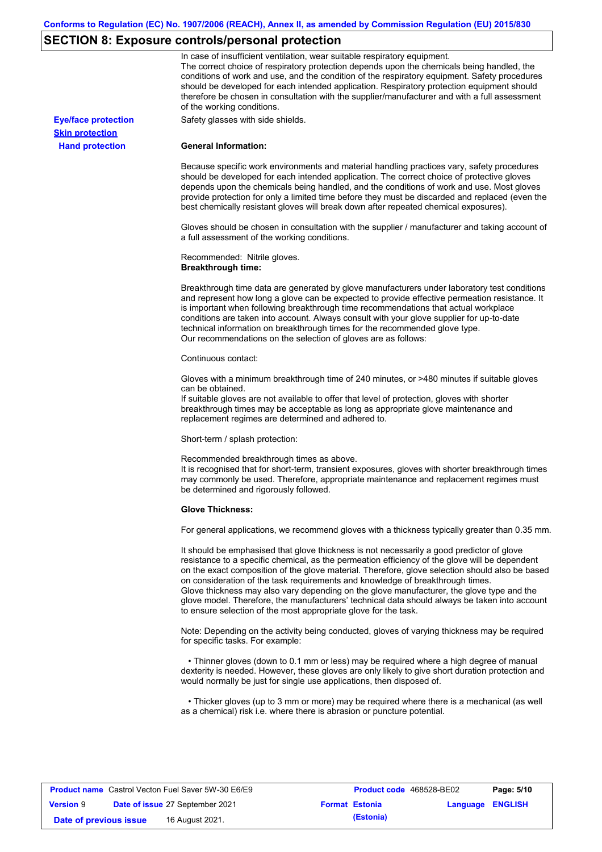# **SECTION 8: Exposure controls/personal protection**

|                            | In case of insufficient ventilation, wear suitable respiratory equipment.<br>The correct choice of respiratory protection depends upon the chemicals being handled, the<br>conditions of work and use, and the condition of the respiratory equipment. Safety procedures<br>should be developed for each intended application. Respiratory protection equipment should<br>therefore be chosen in consultation with the supplier/manufacturer and with a full assessment<br>of the working conditions.                                                                                                                                             |
|----------------------------|---------------------------------------------------------------------------------------------------------------------------------------------------------------------------------------------------------------------------------------------------------------------------------------------------------------------------------------------------------------------------------------------------------------------------------------------------------------------------------------------------------------------------------------------------------------------------------------------------------------------------------------------------|
| <b>Eye/face protection</b> | Safety glasses with side shields.                                                                                                                                                                                                                                                                                                                                                                                                                                                                                                                                                                                                                 |
| <b>Skin protection</b>     |                                                                                                                                                                                                                                                                                                                                                                                                                                                                                                                                                                                                                                                   |
| <b>Hand protection</b>     | <b>General Information:</b>                                                                                                                                                                                                                                                                                                                                                                                                                                                                                                                                                                                                                       |
|                            | Because specific work environments and material handling practices vary, safety procedures<br>should be developed for each intended application. The correct choice of protective gloves<br>depends upon the chemicals being handled, and the conditions of work and use. Most gloves<br>provide protection for only a limited time before they must be discarded and replaced (even the<br>best chemically resistant gloves will break down after repeated chemical exposures).                                                                                                                                                                  |
|                            | Gloves should be chosen in consultation with the supplier / manufacturer and taking account of<br>a full assessment of the working conditions.                                                                                                                                                                                                                                                                                                                                                                                                                                                                                                    |
|                            | Recommended: Nitrile gloves.<br><b>Breakthrough time:</b>                                                                                                                                                                                                                                                                                                                                                                                                                                                                                                                                                                                         |
|                            | Breakthrough time data are generated by glove manufacturers under laboratory test conditions<br>and represent how long a glove can be expected to provide effective permeation resistance. It<br>is important when following breakthrough time recommendations that actual workplace<br>conditions are taken into account. Always consult with your glove supplier for up-to-date<br>technical information on breakthrough times for the recommended glove type.<br>Our recommendations on the selection of gloves are as follows:                                                                                                                |
|                            | Continuous contact:                                                                                                                                                                                                                                                                                                                                                                                                                                                                                                                                                                                                                               |
|                            | Gloves with a minimum breakthrough time of 240 minutes, or >480 minutes if suitable gloves<br>can be obtained.                                                                                                                                                                                                                                                                                                                                                                                                                                                                                                                                    |
|                            | If suitable gloves are not available to offer that level of protection, gloves with shorter<br>breakthrough times may be acceptable as long as appropriate glove maintenance and<br>replacement regimes are determined and adhered to.                                                                                                                                                                                                                                                                                                                                                                                                            |
|                            | Short-term / splash protection:                                                                                                                                                                                                                                                                                                                                                                                                                                                                                                                                                                                                                   |
|                            | Recommended breakthrough times as above.<br>It is recognised that for short-term, transient exposures, gloves with shorter breakthrough times<br>may commonly be used. Therefore, appropriate maintenance and replacement regimes must<br>be determined and rigorously followed.                                                                                                                                                                                                                                                                                                                                                                  |
|                            | <b>Glove Thickness:</b>                                                                                                                                                                                                                                                                                                                                                                                                                                                                                                                                                                                                                           |
|                            | For general applications, we recommend gloves with a thickness typically greater than 0.35 mm.                                                                                                                                                                                                                                                                                                                                                                                                                                                                                                                                                    |
|                            | It should be emphasised that glove thickness is not necessarily a good predictor of glove<br>resistance to a specific chemical, as the permeation efficiency of the glove will be dependent<br>on the exact composition of the glove material. Therefore, glove selection should also be based<br>on consideration of the task requirements and knowledge of breakthrough times.<br>Glove thickness may also vary depending on the glove manufacturer, the glove type and the<br>glove model. Therefore, the manufacturers' technical data should always be taken into account<br>to ensure selection of the most appropriate glove for the task. |
|                            | Note: Depending on the activity being conducted, gloves of varying thickness may be required<br>for specific tasks. For example:                                                                                                                                                                                                                                                                                                                                                                                                                                                                                                                  |
|                            | • Thinner gloves (down to 0.1 mm or less) may be required where a high degree of manual<br>dexterity is needed. However, these gloves are only likely to give short duration protection and<br>would normally be just for single use applications, then disposed of.                                                                                                                                                                                                                                                                                                                                                                              |
|                            | • Thicker gloves (up to 3 mm or more) may be required where there is a mechanical (as well<br>as a chemical) risk i.e. where there is abrasion or puncture potential.                                                                                                                                                                                                                                                                                                                                                                                                                                                                             |

| <b>Product name</b> Castrol Vecton Fuel Saver 5W-30 E6/E9 |  |                                 | <b>Product code</b> 468528-BE02 |                       | Page: 5/10              |  |
|-----------------------------------------------------------|--|---------------------------------|---------------------------------|-----------------------|-------------------------|--|
| <b>Version 9</b>                                          |  | Date of issue 27 September 2021 |                                 | <b>Format Estonia</b> | <b>Language ENGLISH</b> |  |
| Date of previous issue                                    |  | 16 August 2021.                 |                                 | (Estonia)             |                         |  |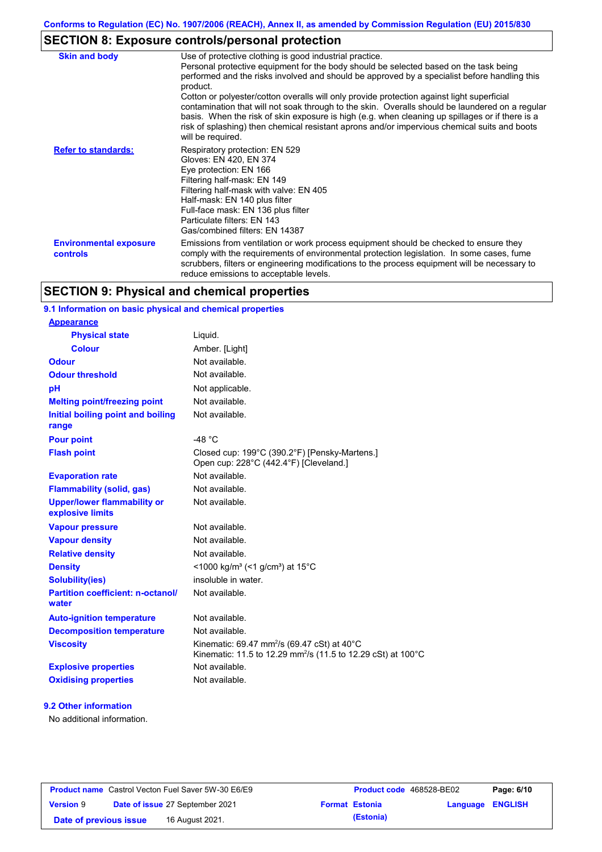# **SECTION 8: Exposure controls/personal protection**

| <b>Skin and body</b>                      | Use of protective clothing is good industrial practice.<br>Personal protective equipment for the body should be selected based on the task being<br>performed and the risks involved and should be approved by a specialist before handling this<br>product.<br>Cotton or polyester/cotton overalls will only provide protection against light superficial<br>contamination that will not soak through to the skin. Overalls should be laundered on a regular<br>basis. When the risk of skin exposure is high (e.g. when cleaning up spillages or if there is a<br>risk of splashing) then chemical resistant aprons and/or impervious chemical suits and boots<br>will be required. |
|-------------------------------------------|---------------------------------------------------------------------------------------------------------------------------------------------------------------------------------------------------------------------------------------------------------------------------------------------------------------------------------------------------------------------------------------------------------------------------------------------------------------------------------------------------------------------------------------------------------------------------------------------------------------------------------------------------------------------------------------|
| <b>Refer to standards:</b>                | Respiratory protection: EN 529<br>Gloves: EN 420, EN 374<br>Eye protection: EN 166<br>Filtering half-mask: EN 149<br>Filtering half-mask with valve: EN 405<br>Half-mask: EN 140 plus filter<br>Full-face mask: EN 136 plus filter<br>Particulate filters: EN 143<br>Gas/combined filters: EN 14387                                                                                                                                                                                                                                                                                                                                                                                   |
| <b>Environmental exposure</b><br>controls | Emissions from ventilation or work process equipment should be checked to ensure they<br>comply with the requirements of environmental protection legislation. In some cases, fume<br>scrubbers, filters or engineering modifications to the process equipment will be necessary to<br>reduce emissions to acceptable levels.                                                                                                                                                                                                                                                                                                                                                         |

## **SECTION 9: Physical and chemical properties**

### **9.1 Information on basic physical and chemical properties**

| <b>Appearance</b>                                      |                                                                                                                                                |
|--------------------------------------------------------|------------------------------------------------------------------------------------------------------------------------------------------------|
| <b>Physical state</b>                                  | Liquid.                                                                                                                                        |
| <b>Colour</b>                                          | Amber. [Light]                                                                                                                                 |
| Odour                                                  | Not available.                                                                                                                                 |
| <b>Odour threshold</b>                                 | Not available.                                                                                                                                 |
| рH                                                     | Not applicable.                                                                                                                                |
| <b>Melting point/freezing point</b>                    | Not available.                                                                                                                                 |
| Initial boiling point and boiling<br>range             | Not available.                                                                                                                                 |
| <b>Pour point</b>                                      | $-48 °C$                                                                                                                                       |
| <b>Flash point</b>                                     | Closed cup: 199°C (390.2°F) [Pensky-Martens.]<br>Open cup: 228°C (442.4°F) [Cleveland.]                                                        |
| <b>Evaporation rate</b>                                | Not available.                                                                                                                                 |
| <b>Flammability (solid, gas)</b>                       | Not available.                                                                                                                                 |
| <b>Upper/lower flammability or</b><br>explosive limits | Not available.                                                                                                                                 |
| <b>Vapour pressure</b>                                 | Not available.                                                                                                                                 |
| <b>Vapour density</b>                                  | Not available.                                                                                                                                 |
| <b>Relative density</b>                                | Not available.                                                                                                                                 |
| <b>Density</b>                                         | <1000 kg/m <sup>3</sup> (<1 g/cm <sup>3</sup> ) at 15 <sup>°</sup> C                                                                           |
| <b>Solubility(ies)</b>                                 | insoluble in water.                                                                                                                            |
| <b>Partition coefficient: n-octanol/</b><br>water      | Not available.                                                                                                                                 |
| <b>Auto-ignition temperature</b>                       | Not available.                                                                                                                                 |
| <b>Decomposition temperature</b>                       | Not available.                                                                                                                                 |
| <b>Viscosity</b>                                       | Kinematic: 69.47 mm <sup>2</sup> /s (69.47 cSt) at 40 $^{\circ}$ C<br>Kinematic: 11.5 to 12.29 mm <sup>2</sup> /s (11.5 to 12.29 cSt) at 100°C |
| <b>Explosive properties</b>                            | Not available.                                                                                                                                 |
| <b>Oxidising properties</b>                            | Not available.                                                                                                                                 |

### **9.2 Other information**

No additional information.

| <b>Product name</b> Castrol Vecton Fuel Saver 5W-30 E6/E9 |  | <b>Product code</b> 468528-BE02        |  | Page: 6/10            |                         |  |
|-----------------------------------------------------------|--|----------------------------------------|--|-----------------------|-------------------------|--|
| <b>Version 9</b>                                          |  | <b>Date of issue 27 September 2021</b> |  | <b>Format Estonia</b> | <b>Language ENGLISH</b> |  |
| Date of previous issue                                    |  | 16 August 2021.                        |  | (Estonia)             |                         |  |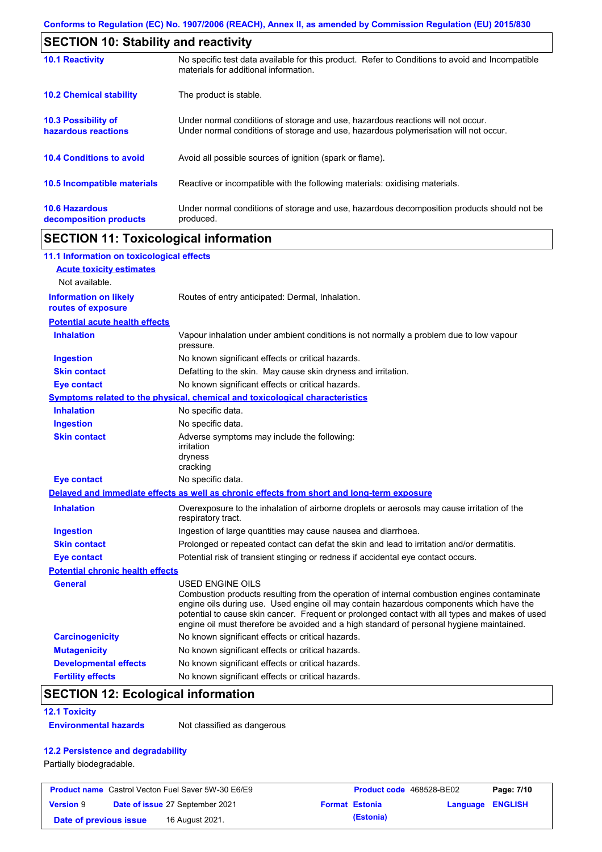| <b>SECTION 10: Stability and reactivity</b>       |                                                                                                                                                                         |  |  |
|---------------------------------------------------|-------------------------------------------------------------------------------------------------------------------------------------------------------------------------|--|--|
| <b>10.1 Reactivity</b>                            | No specific test data available for this product. Refer to Conditions to avoid and Incompatible<br>materials for additional information.                                |  |  |
| <b>10.2 Chemical stability</b>                    | The product is stable.                                                                                                                                                  |  |  |
| <b>10.3 Possibility of</b><br>hazardous reactions | Under normal conditions of storage and use, hazardous reactions will not occur.<br>Under normal conditions of storage and use, hazardous polymerisation will not occur. |  |  |
| <b>10.4 Conditions to avoid</b>                   | Avoid all possible sources of ignition (spark or flame).                                                                                                                |  |  |
| 10.5 Incompatible materials                       | Reactive or incompatible with the following materials: oxidising materials.                                                                                             |  |  |
| <b>10.6 Hazardous</b><br>decomposition products   | Under normal conditions of storage and use, hazardous decomposition products should not be<br>produced.                                                                 |  |  |

# **SECTION 11: Toxicological information**

| 11.1 Information on toxicological effects          |                                                                                                                                                                                                                                                                                                                                                                                                                 |
|----------------------------------------------------|-----------------------------------------------------------------------------------------------------------------------------------------------------------------------------------------------------------------------------------------------------------------------------------------------------------------------------------------------------------------------------------------------------------------|
| <b>Acute toxicity estimates</b>                    |                                                                                                                                                                                                                                                                                                                                                                                                                 |
| Not available.                                     |                                                                                                                                                                                                                                                                                                                                                                                                                 |
| <b>Information on likely</b><br>routes of exposure | Routes of entry anticipated: Dermal, Inhalation.                                                                                                                                                                                                                                                                                                                                                                |
| <b>Potential acute health effects</b>              |                                                                                                                                                                                                                                                                                                                                                                                                                 |
| <b>Inhalation</b>                                  | Vapour inhalation under ambient conditions is not normally a problem due to low vapour<br>pressure.                                                                                                                                                                                                                                                                                                             |
| <b>Ingestion</b>                                   | No known significant effects or critical hazards.                                                                                                                                                                                                                                                                                                                                                               |
| <b>Skin contact</b>                                | Defatting to the skin. May cause skin dryness and irritation.                                                                                                                                                                                                                                                                                                                                                   |
| <b>Eye contact</b>                                 | No known significant effects or critical hazards.                                                                                                                                                                                                                                                                                                                                                               |
|                                                    | <b>Symptoms related to the physical, chemical and toxicological characteristics</b>                                                                                                                                                                                                                                                                                                                             |
| <b>Inhalation</b>                                  | No specific data.                                                                                                                                                                                                                                                                                                                                                                                               |
| <b>Ingestion</b>                                   | No specific data.                                                                                                                                                                                                                                                                                                                                                                                               |
| <b>Skin contact</b>                                | Adverse symptoms may include the following:<br>irritation<br>dryness<br>cracking                                                                                                                                                                                                                                                                                                                                |
| <b>Eye contact</b>                                 | No specific data.                                                                                                                                                                                                                                                                                                                                                                                               |
|                                                    | Delayed and immediate effects as well as chronic effects from short and long-term exposure                                                                                                                                                                                                                                                                                                                      |
| <b>Inhalation</b>                                  | Overexposure to the inhalation of airborne droplets or aerosols may cause irritation of the<br>respiratory tract.                                                                                                                                                                                                                                                                                               |
| <b>Ingestion</b>                                   | Ingestion of large quantities may cause nausea and diarrhoea.                                                                                                                                                                                                                                                                                                                                                   |
| <b>Skin contact</b>                                | Prolonged or repeated contact can defat the skin and lead to irritation and/or dermatitis.                                                                                                                                                                                                                                                                                                                      |
| <b>Eye contact</b>                                 | Potential risk of transient stinging or redness if accidental eye contact occurs.                                                                                                                                                                                                                                                                                                                               |
| <b>Potential chronic health effects</b>            |                                                                                                                                                                                                                                                                                                                                                                                                                 |
| General                                            | <b>USED ENGINE OILS</b><br>Combustion products resulting from the operation of internal combustion engines contaminate<br>engine oils during use. Used engine oil may contain hazardous components which have the<br>potential to cause skin cancer. Frequent or prolonged contact with all types and makes of used<br>engine oil must therefore be avoided and a high standard of personal hygiene maintained. |
| <b>Carcinogenicity</b>                             | No known significant effects or critical hazards.                                                                                                                                                                                                                                                                                                                                                               |
| <b>Mutagenicity</b>                                | No known significant effects or critical hazards.                                                                                                                                                                                                                                                                                                                                                               |
| <b>Developmental effects</b>                       | No known significant effects or critical hazards.                                                                                                                                                                                                                                                                                                                                                               |
| <b>Fertility effects</b>                           | No known significant effects or critical hazards.                                                                                                                                                                                                                                                                                                                                                               |

# **SECTION 12: Ecological information**

#### **12.1 Toxicity**

**Environmental hazards** Not classified as dangerous

### **12.2 Persistence and degradability**

Partially biodegradable.

| <b>Product name</b> Castrol Vecton Fuel Saver 5W-30 E6/E9 |  |                                 | <b>Product code</b> 468528-BE02 |                       | Page: 7/10              |  |
|-----------------------------------------------------------|--|---------------------------------|---------------------------------|-----------------------|-------------------------|--|
| <b>Version 9</b>                                          |  | Date of issue 27 September 2021 |                                 | <b>Format Estonia</b> | <b>Language ENGLISH</b> |  |
| Date of previous issue                                    |  | 16 August 2021.                 |                                 | (Estonia)             |                         |  |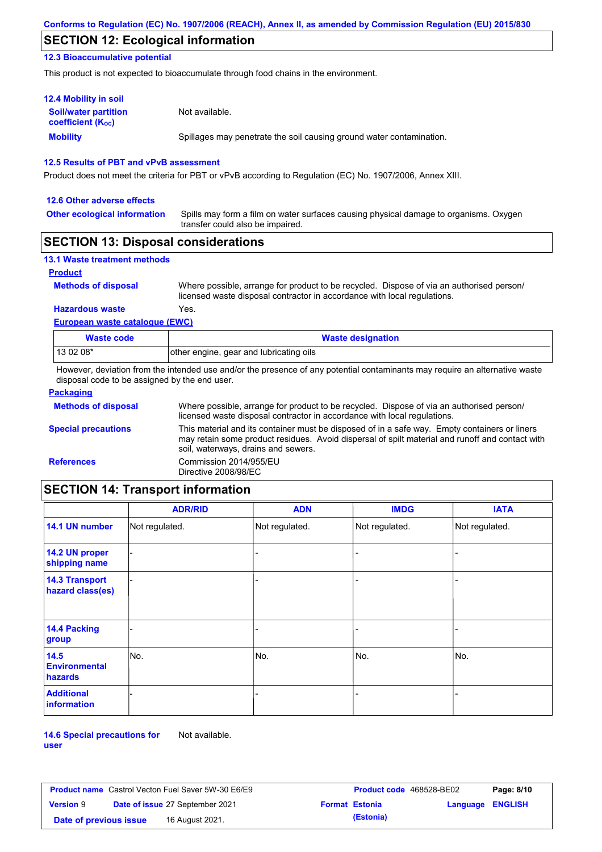## **SECTION 12: Ecological information**

### **12.3 Bioaccumulative potential**

This product is not expected to bioaccumulate through food chains in the environment.

| <b>12.4 Mobility in soil</b>                                  |                                                                      |
|---------------------------------------------------------------|----------------------------------------------------------------------|
| <b>Soil/water partition</b><br>coefficient (K <sub>oc</sub> ) | Not available.                                                       |
| <b>Mobility</b>                                               | Spillages may penetrate the soil causing ground water contamination. |

### **12.5 Results of PBT and vPvB assessment**

Product does not meet the criteria for PBT or vPvB according to Regulation (EC) No. 1907/2006, Annex XIII.

#### **12.6 Other adverse effects**

**Other ecological information**

Spills may form a film on water surfaces causing physical damage to organisms. Oxygen transfer could also be impaired.

### **SECTION 13: Disposal considerations**

| <b>13.1 Waste treatment methods</b> |                                                                                                                                                                      |
|-------------------------------------|----------------------------------------------------------------------------------------------------------------------------------------------------------------------|
| <b>Product</b>                      |                                                                                                                                                                      |
| <b>Methods of disposal</b>          | Where possible, arrange for product to be recycled. Dispose of via an authorised person/<br>licensed waste disposal contractor in accordance with local regulations. |
| <b>Hazardous waste</b>              | Yes.                                                                                                                                                                 |
| European waste catalogue (EWC)      |                                                                                                                                                                      |

| Waste code | <b>Waste designation</b>                |  |  |
|------------|-----------------------------------------|--|--|
| $1130208*$ | other engine, gear and lubricating oils |  |  |

However, deviation from the intended use and/or the presence of any potential contaminants may require an alternative waste disposal code to be assigned by the end user.

| <b>Packaging</b>           |                                                                                                                                                                                                                                         |
|----------------------------|-----------------------------------------------------------------------------------------------------------------------------------------------------------------------------------------------------------------------------------------|
| <b>Methods of disposal</b> | Where possible, arrange for product to be recycled. Dispose of via an authorised person/<br>licensed waste disposal contractor in accordance with local regulations.                                                                    |
| <b>Special precautions</b> | This material and its container must be disposed of in a safe way. Empty containers or liners<br>may retain some product residues. Avoid dispersal of spilt material and runoff and contact with<br>soil, waterways, drains and sewers. |
| <b>References</b>          | Commission 2014/955/EU<br>Directive 2008/98/EC                                                                                                                                                                                          |

# **SECTION 14: Transport information**

|                                           | <b>ADR/RID</b> | <b>ADN</b>     | <b>IMDG</b>    | <b>IATA</b>    |
|-------------------------------------------|----------------|----------------|----------------|----------------|
| 14.1 UN number                            | Not regulated. | Not regulated. | Not regulated. | Not regulated. |
| 14.2 UN proper<br>shipping name           |                |                | -              |                |
| <b>14.3 Transport</b><br>hazard class(es) |                |                | -              |                |
| 14.4 Packing<br>group                     |                |                |                |                |
| 14.5<br><b>Environmental</b><br>hazards   | No.            | No.            | No.            | No.            |
| <b>Additional</b><br><b>information</b>   |                |                |                |                |

**14.6 Special precautions for user** Not available.

| <b>Product name</b> Castrol Vecton Fuel Saver 5W-30 E6/E9 |  |                                        | <b>Product code</b> 468528-BE02 |                       | Page: 8/10       |  |
|-----------------------------------------------------------|--|----------------------------------------|---------------------------------|-----------------------|------------------|--|
| <b>Version 9</b>                                          |  | <b>Date of issue 27 September 2021</b> |                                 | <b>Format Estonia</b> | Language ENGLISH |  |
| Date of previous issue                                    |  | 16 August 2021.                        |                                 | (Estonia)             |                  |  |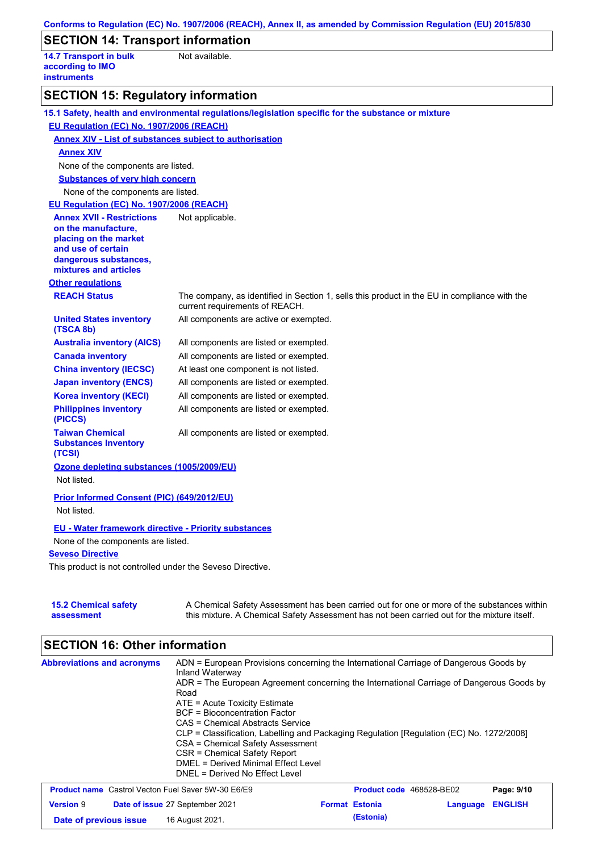|                                                                                           | Conforms to Regulation (EC) No. 1907/2006 (REACH), Annex II, as amended by Commission Regulation (EU) 2015/830                                                                            |  |  |  |  |  |
|-------------------------------------------------------------------------------------------|-------------------------------------------------------------------------------------------------------------------------------------------------------------------------------------------|--|--|--|--|--|
| <b>SECTION 14: Transport information</b>                                                  |                                                                                                                                                                                           |  |  |  |  |  |
| <b>14.7 Transport in bulk</b><br>Not available.<br>according to IMO<br><b>instruments</b> |                                                                                                                                                                                           |  |  |  |  |  |
| <b>SECTION 15: Regulatory information</b>                                                 |                                                                                                                                                                                           |  |  |  |  |  |
|                                                                                           | 15.1 Safety, health and environmental regulations/legislation specific for the substance or mixture                                                                                       |  |  |  |  |  |
| EU Regulation (EC) No. 1907/2006 (REACH)                                                  |                                                                                                                                                                                           |  |  |  |  |  |
| <b>Annex XIV - List of substances subject to authorisation</b>                            |                                                                                                                                                                                           |  |  |  |  |  |
| <b>Annex XIV</b>                                                                          |                                                                                                                                                                                           |  |  |  |  |  |
| None of the components are listed.                                                        |                                                                                                                                                                                           |  |  |  |  |  |
| <b>Substances of very high concern</b>                                                    |                                                                                                                                                                                           |  |  |  |  |  |
| None of the components are listed.                                                        |                                                                                                                                                                                           |  |  |  |  |  |
| EU Regulation (EC) No. 1907/2006 (REACH)                                                  |                                                                                                                                                                                           |  |  |  |  |  |
| <b>Annex XVII - Restrictions</b>                                                          | Not applicable.                                                                                                                                                                           |  |  |  |  |  |
| on the manufacture,<br>placing on the market                                              |                                                                                                                                                                                           |  |  |  |  |  |
| and use of certain                                                                        |                                                                                                                                                                                           |  |  |  |  |  |
| dangerous substances,                                                                     |                                                                                                                                                                                           |  |  |  |  |  |
| mixtures and articles                                                                     |                                                                                                                                                                                           |  |  |  |  |  |
| <b>Other regulations</b>                                                                  |                                                                                                                                                                                           |  |  |  |  |  |
| <b>REACH Status</b>                                                                       | The company, as identified in Section 1, sells this product in the EU in compliance with the<br>current requirements of REACH.                                                            |  |  |  |  |  |
| <b>United States inventory</b><br>(TSCA 8b)                                               | All components are active or exempted.                                                                                                                                                    |  |  |  |  |  |
| <b>Australia inventory (AICS)</b>                                                         | All components are listed or exempted.                                                                                                                                                    |  |  |  |  |  |
| <b>Canada inventory</b>                                                                   | All components are listed or exempted.                                                                                                                                                    |  |  |  |  |  |
| <b>China inventory (IECSC)</b>                                                            | At least one component is not listed.                                                                                                                                                     |  |  |  |  |  |
| <b>Japan inventory (ENCS)</b>                                                             | All components are listed or exempted.                                                                                                                                                    |  |  |  |  |  |
| <b>Korea inventory (KECI)</b>                                                             | All components are listed or exempted.                                                                                                                                                    |  |  |  |  |  |
| <b>Philippines inventory</b><br>(PICCS)                                                   | All components are listed or exempted.                                                                                                                                                    |  |  |  |  |  |
| <b>Taiwan Chemical</b><br><b>Substances Inventory</b><br>(TCSI)                           | All components are listed or exempted.                                                                                                                                                    |  |  |  |  |  |
| Ozone depleting substances (1005/2009/EU)<br>Not listed.                                  |                                                                                                                                                                                           |  |  |  |  |  |
| Prior Informed Consent (PIC) (649/2012/EU)<br>Not listed.                                 |                                                                                                                                                                                           |  |  |  |  |  |
| <b>EU - Water framework directive - Priority substances</b>                               |                                                                                                                                                                                           |  |  |  |  |  |
| None of the components are listed.                                                        |                                                                                                                                                                                           |  |  |  |  |  |
| <b>Seveso Directive</b>                                                                   |                                                                                                                                                                                           |  |  |  |  |  |
| This product is not controlled under the Seveso Directive.                                |                                                                                                                                                                                           |  |  |  |  |  |
| <b>15.2 Chemical safety</b><br>assessment                                                 | A Chemical Safety Assessment has been carried out for one or more of the substances within<br>this mixture. A Chemical Safety Assessment has not been carried out for the mixture itself. |  |  |  |  |  |

# **SECTION 16: Other information**

| <b>Abbreviations and acronyms</b>                         | ADN = European Provisions concerning the International Carriage of Dangerous Goods by<br>Inland Waterway<br>ADR = The European Agreement concerning the International Carriage of Dangerous Goods by<br>Road<br>ATE = Acute Toxicity Estimate<br><b>BCF</b> = Bioconcentration Factor<br>CAS = Chemical Abstracts Service<br>CLP = Classification, Labelling and Packaging Regulation [Regulation (EC) No. 1272/2008]<br>CSA = Chemical Safety Assessment<br>CSR = Chemical Safety Report<br>DMEL = Derived Minimal Effect Level<br>DNEL = Derived No Effect Level |                                 |          |                |
|-----------------------------------------------------------|--------------------------------------------------------------------------------------------------------------------------------------------------------------------------------------------------------------------------------------------------------------------------------------------------------------------------------------------------------------------------------------------------------------------------------------------------------------------------------------------------------------------------------------------------------------------|---------------------------------|----------|----------------|
| <b>Product name</b> Castrol Vecton Fuel Saver 5W-30 E6/E9 |                                                                                                                                                                                                                                                                                                                                                                                                                                                                                                                                                                    | <b>Product code</b> 468528-BE02 |          | Page: 9/10     |
| <b>Version 9</b>                                          | Date of issue 27 September 2021                                                                                                                                                                                                                                                                                                                                                                                                                                                                                                                                    | <b>Format Estonia</b>           | Language | <b>ENGLISH</b> |
| Date of previous issue                                    | 16 August 2021.                                                                                                                                                                                                                                                                                                                                                                                                                                                                                                                                                    | (Estonia)                       |          |                |